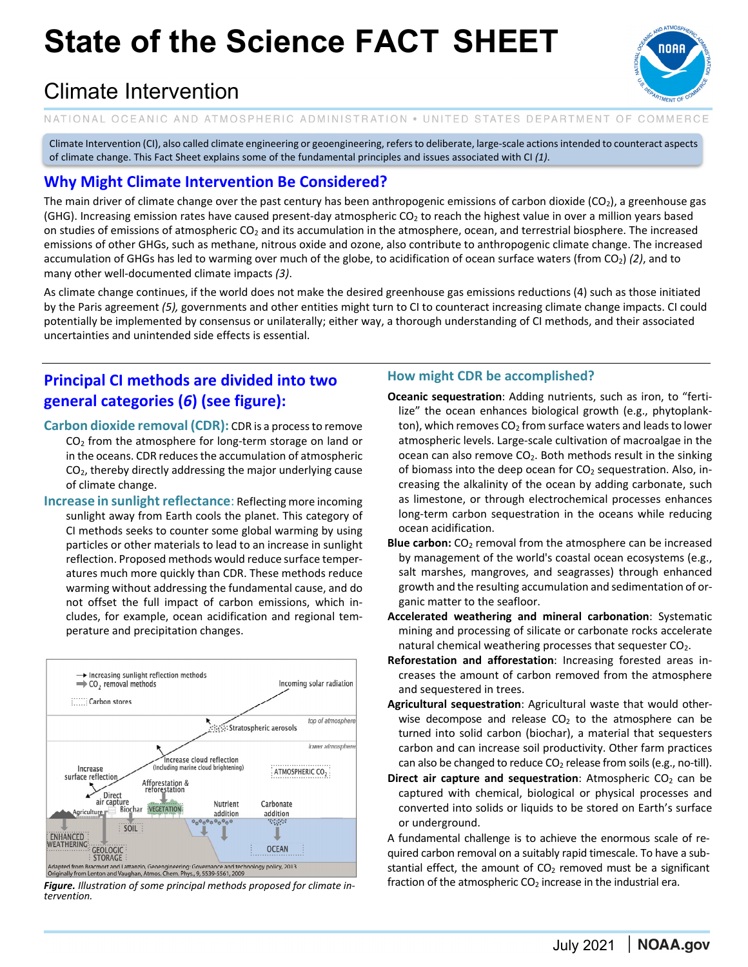# **State of the Science FACT SHEET**

### Climate Intervention

NATIONAL OCEANIC AND ATMOSPHERIC ADMINISTRATION . UNITED STATES DEPARTMENT OF COMMERCE

Climate Intervention (CI), also called climate engineering or geoengineering, refersto deliberate, large‐scale actionsintended to counteract aspects of climate change. This Fact Sheet explains some of the fundamental principles and issues associated with CI *(1)*.

### **Why Might Climate Intervention Be Considered?**

The main driver of climate change over the past century has been anthropogenic emissions of carbon dioxide  $(CO_2)$ , a greenhouse gas (GHG). Increasing emission rates have caused present-day atmospheric CO<sub>2</sub> to reach the highest value in over a million years based on studies of emissions of atmospheric  $CO<sub>2</sub>$  and its accumulation in the atmosphere, ocean, and terrestrial biosphere. The increased emissions of other GHGs, such as methane, nitrous oxide and ozone, also contribute to anthropogenic climate change. The increased accumulation of GHGs has led to warming over much of the globe, to acidification of ocean surface waters (from CO2) *(2)*, and to many other well‐documented climate impacts *(3)*.

As climate change continues, if the world does not make the desired greenhouse gas emissions reductions (4) such as those initiated by the Paris agreement *(5),* governments and other entities might turn to CI to counteract increasing climate change impacts. CI could potentially be implemented by consensus or unilaterally; either way, a thorough understanding of CI methods, and their associated uncertainties and unintended side effects is essential.

### **Principal CI methods are divided into two general categories (***6***) (see figure):**

- **Carbon dioxide removal (CDR):** CDR is a processto remove  $CO<sub>2</sub>$  from the atmosphere for long-term storage on land or in the oceans. CDR reduces the accumulation of atmospheric CO2, thereby directly addressing the major underlying cause of climate change.
- **Increase in sunlight reflectance**: Reflecting more incoming sunlight away from Earth cools the planet. This category of CI methods seeks to counter some global warming by using particles or other materials to lead to an increase in sunlight reflection. Proposed methods would reduce surface temper‐ atures much more quickly than CDR. These methods reduce warming without addressing the fundamental cause, and do not offset the full impact of carbon emissions, which in‐ cludes, for example, ocean acidification and regional tem‐ perature and precipitation changes.



*Figure. Illustration of some principal methods proposed for climate in‐ tervention.* 

#### **How might CDR be accomplished?**

- **Oceanic sequestration**: Adding nutrients, such as iron, to "ferti‐ lize" the ocean enhances biological growth (e.g., phytoplank‐ ton), which removes  $CO<sub>2</sub>$  from surface waters and leads to lower atmospheric levels. Large‐scale cultivation of macroalgae in the ocean can also remove  $CO<sub>2</sub>$ . Both methods result in the sinking of biomass into the deep ocean for  $CO<sub>2</sub>$  sequestration. Also, increasing the alkalinity of the ocean by adding carbonate, such as limestone, or through electrochemical processes enhances long‐term carbon sequestration in the oceans while reducing ocean acidification.
- **Blue carbon:** CO<sub>2</sub> removal from the atmosphere can be increased by management of the world's coastal ocean ecosystems (e.g., salt marshes, mangroves, and seagrasses) through enhanced growth and the resulting accumulation and sedimentation of or‐ ganic matter to the seafloor.
- **Accelerated weathering and mineral carbonation**: Systematic mining and processing of silicate or carbonate rocks accelerate natural chemical weathering processes that sequester CO2.
- **Reforestation and afforestation**: Increasing forested areas in‐ creases the amount of carbon removed from the atmosphere and sequestered in trees.
- **Agricultural sequestration**: Agricultural waste that would other‐ wise decompose and release  $CO<sub>2</sub>$  to the atmosphere can be turned into solid carbon (biochar), a material that sequesters carbon and can increase soil productivity. Other farm practices can also be changed to reduce  $CO<sub>2</sub>$  release from soils (e.g., no-till).
- **Direct air capture and sequestration**: Atmospheric CO<sub>2</sub> can be captured with chemical, biological or physical processes and converted into solids or liquids to be stored on Earth's surface or underground.

A fundamental challenge is to achieve the enormous scale of re‐ quired carbon removal on a suitably rapid timescale. To have a sub‐ stantial effect, the amount of  $CO<sub>2</sub>$  removed must be a significant fraction of the atmospheric  $CO<sub>2</sub>$  increase in the industrial era.